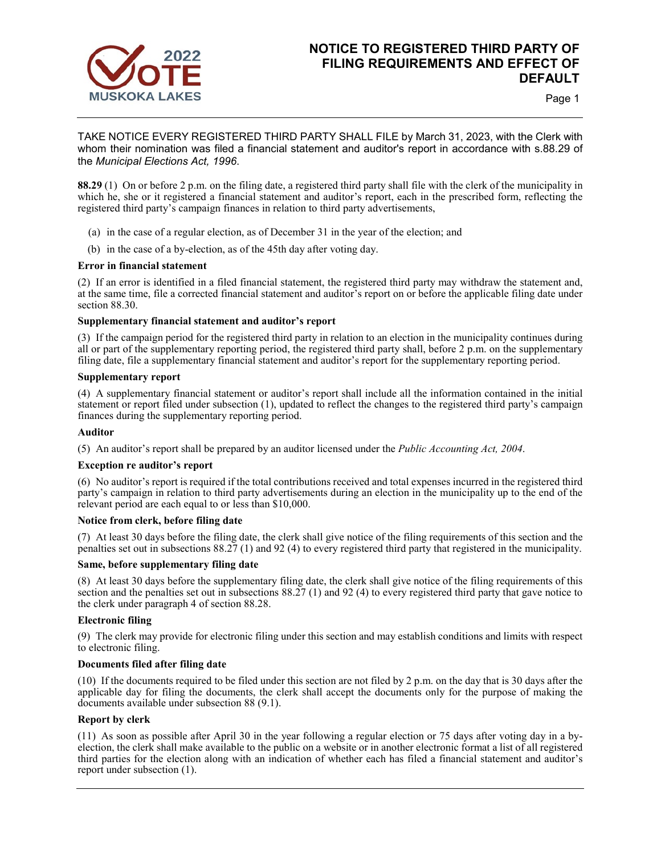

# **NOTICE TO REGISTERED THIRD PARTY OF FILING REQUIREMENTS AND EFFECT OF DEFAULT**

Page 1

TAKE NOTICE EVERY REGISTERED THIRD PARTY SHALL FILE by March 31, 2023, with the Clerk with whom their nomination was filed a financial statement and auditor's report in accordance with s.88.29 of the *Municipal Elections Act, 1996*.

**88.29** (1) On or before 2 p.m. on the filing date, a registered third party shall file with the clerk of the municipality in which he, she or it registered a financial statement and auditor's report, each in the prescribed form, reflecting the registered third party's campaign finances in relation to third party advertisements,

- (a) in the case of a regular election, as of December 31 in the year of the election; and
- (b) in the case of a by-election, as of the 45th day after voting day.

### **Error in financial statement**

(2) If an error is identified in a filed financial statement, the registered third party may withdraw the statement and, at the same time, file a corrected financial statement and auditor's report on or before the applicable filing date under section 88.30.

### **Supplementary financial statement and auditor's report**

(3) If the campaign period for the registered third party in relation to an election in the municipality continues during all or part of the supplementary reporting period, the registered third party shall, before 2 p.m. on the supplementary filing date, file a supplementary financial statement and auditor's report for the supplementary reporting period.

### **Supplementary report**

(4) A supplementary financial statement or auditor's report shall include all the information contained in the initial statement or report filed under subsection (1), updated to reflect the changes to the registered third party's campaign finances during the supplementary reporting period.

#### **Auditor**

(5) An auditor's report shall be prepared by an auditor licensed under the *Public Accounting Act, 2004*.

### **Exception re auditor's report**

(6) No auditor's report is required if the total contributions received and total expenses incurred in the registered third party's campaign in relation to third party advertisements during an election in the municipality up to the end of the relevant period are each equal to or less than \$10,000.

### **Notice from clerk, before filing date**

(7) At least 30 days before the filing date, the clerk shall give notice of the filing requirements of this section and the penalties set out in subsections 88.27 (1) and 92 (4) to every registered third party that registered in the municipality.

### **Same, before supplementary filing date**

(8) At least 30 days before the supplementary filing date, the clerk shall give notice of the filing requirements of this section and the penalties set out in subsections 88.27 (1) and 92 (4) to every registered third party that gave notice to the clerk under paragraph 4 of section 88.28.

### **Electronic filing**

(9) The clerk may provide for electronic filing under this section and may establish conditions and limits with respect to electronic filing.

### **Documents filed after filing date**

(10) If the documents required to be filed under this section are not filed by 2 p.m. on the day that is 30 days after the applicable day for filing the documents, the clerk shall accept the documents only for the purpose of making the documents available under subsection 88 (9.1).

## **Report by clerk**

(11) As soon as possible after April 30 in the year following a regular election or 75 days after voting day in a byelection, the clerk shall make available to the public on a website or in another electronic format a list of all registered third parties for the election along with an indication of whether each has filed a financial statement and auditor's report under subsection (1).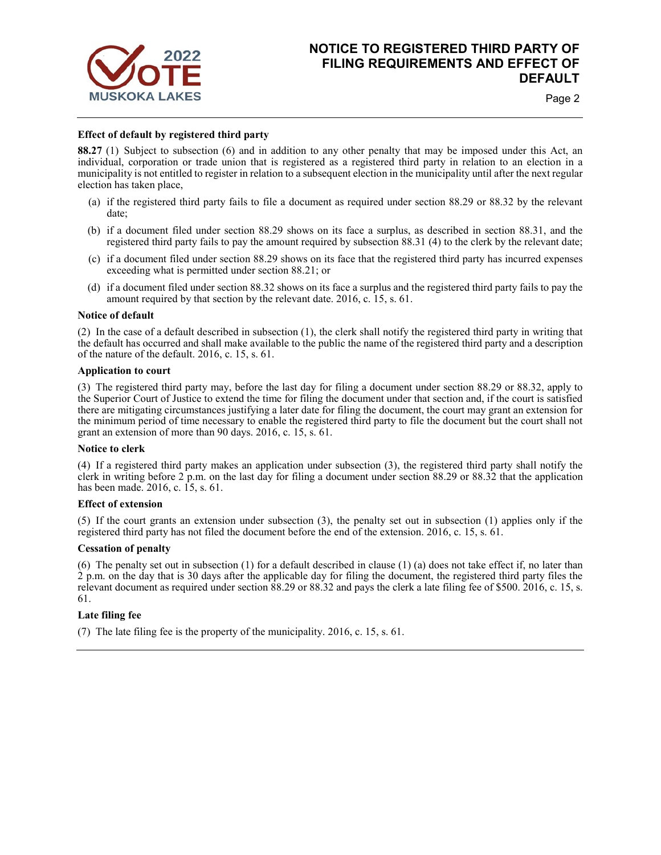

# **NOTICE TO REGISTERED THIRD PARTY OF FILING REQUIREMENTS AND EFFECT OF DEFAULT**

Page 2

### **Effect of default by registered third party**

**88.27** (1) Subject to subsection (6) and in addition to any other penalty that may be imposed under this Act, an individual, corporation or trade union that is registered as a registered third party in relation to an election in a municipality is not entitled to register in relation to a subsequent election in the municipality until after the next regular election has taken place,

- (a) if the registered third party fails to file a document as required under section 88.29 or 88.32 by the relevant date;
- (b) if a document filed under section 88.29 shows on its face a surplus, as described in section 88.31, and the registered third party fails to pay the amount required by subsection 88.31 (4) to the clerk by the relevant date;
- (c) if a document filed under section 88.29 shows on its face that the registered third party has incurred expenses exceeding what is permitted under section 88.21; or
- (d) if a document filed under section 88.32 shows on its face a surplus and the registered third party fails to pay the amount required by that section by the relevant date. 2016, c. 15, s. 61.

#### **Notice of default**

(2) In the case of a default described in subsection (1), the clerk shall notify the registered third party in writing that the default has occurred and shall make available to the public the name of the registered third party and a description of the nature of the default. 2016, c. 15, s. 61.

#### **Application to court**

(3) The registered third party may, before the last day for filing a document under section 88.29 or 88.32, apply to the Superior Court of Justice to extend the time for filing the document under that section and, if the court is satisfied there are mitigating circumstances justifying a later date for filing the document, the court may grant an extension for the minimum period of time necessary to enable the registered third party to file the document but the court shall not grant an extension of more than 90 days. 2016, c. 15, s. 61.

#### **Notice to clerk**

(4) If a registered third party makes an application under subsection (3), the registered third party shall notify the clerk in writing before 2 p.m. on the last day for filing a document under section 88.29 or 88.32 that the application has been made. 2016, c. 15, s. 61.

### **Effect of extension**

(5) If the court grants an extension under subsection (3), the penalty set out in subsection (1) applies only if the registered third party has not filed the document before the end of the extension. 2016, c. 15, s. 61.

### **Cessation of penalty**

(6) The penalty set out in subsection (1) for a default described in clause (1) (a) does not take effect if, no later than 2 p.m. on the day that is 30 days after the applicable day for filing the document, the registered third party files the relevant document as required under section 88.29 or 88.32 and pays the clerk a late filing fee of \$500. 2016, c. 15, s. 61.

### **Late filing fee**

(7) The late filing fee is the property of the municipality. 2016, c. 15, s. 61.